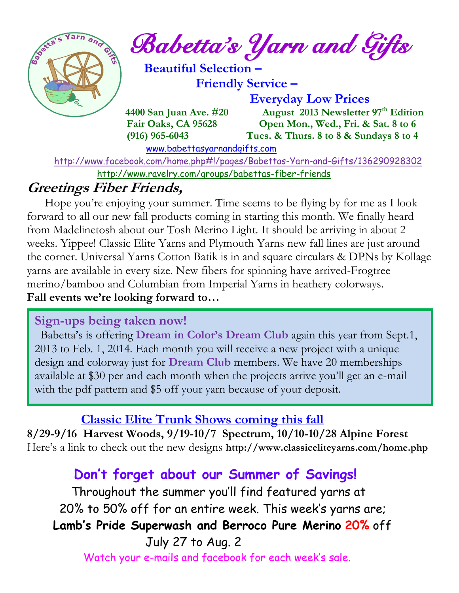

*Babetta's Yarn and Gifts* 

 **Beautiful Selection – Friendly Service –**

 **Everyday Low Prices**

 **4400 San Juan Ave. #20** August 2013 Newsletter 97<sup>th</sup> Edition  **Fair Oaks, CA 95628 Open Mon., Wed., Fri. & Sat. 8 to 6 (916) 965-6043 Tues. & Thurs. 8 to 8 & Sundays 8 to 4** 

[www.babettasyarnandgifts.com](http://www.babettasyarnandgifts.com/)

 <http://www.facebook.com/home.php#!/pages/Babettas-Yarn-and-Gifts/136290928302> <http://www.ravelry.com/groups/babettas-fiber-friends>

## **Greetings Fiber Friends,**

 Hope you're enjoying your summer. Time seems to be flying by for me as I look forward to all our new fall products coming in starting this month. We finally heard from Madelinetosh about our Tosh Merino Light. It should be arriving in about 2 weeks. Yippee! Classic Elite Yarns and Plymouth Yarns new fall lines are just around the corner. Universal Yarns Cotton Batik is in and square circulars & DPNs by Kollage yarns are available in every size. New fibers for spinning have arrived-Frogtree merino/bamboo and Columbian from Imperial Yarns in heathery colorways. **Fall events we're looking forward to…**

#### **Sign-ups being taken now!**

 Babetta's is offering **Dream in Color's Dream Club** again this year from Sept.1, 2013 to Feb. 1, 2014. Each month you will receive a new project with a unique design and colorway just for **Dream Club** members. We have 20 memberships available at \$30 per and each month when the projects arrive you'll get an e-mail with the pdf pattern and \$5 off your yarn because of your deposit.

### **Classic Elite Trunk Shows coming this fall**

**8/29-9/16 Harvest Woods, 9/19-10/7 Spectrum, 10/10-10/28 Alpine Forest** Here's a link to check out the new designs **<http://www.classiceliteyarns.com/home.php>**

## **Don't forget about our Summer of Savings!**

 Throughout the summer you'll find featured yarns at 20% to 50% off for an entire week. This week's yarns are;  **Lamb's Pride Superwash and Berroco Pure Merino 20%** off July 27 to Aug. 2 Watch your e-mails and facebook for each week's sale.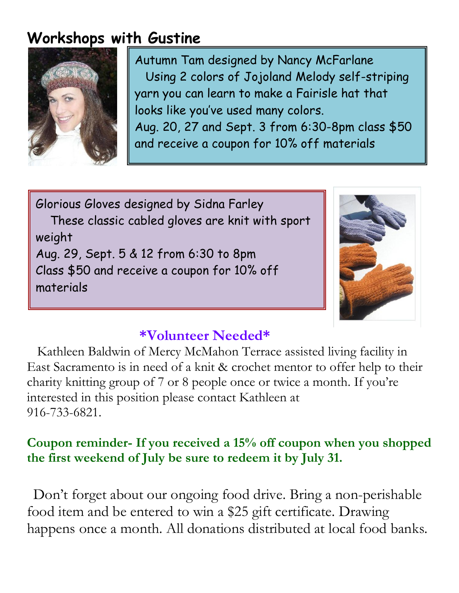# **Workshops with Gustine**



Autumn Tam designed by Nancy McFarlane Using 2 colors of Jojoland Melody self-striping yarn you can learn to make a Fairisle hat that looks like you've used many colors. Aug. 20, 27 and Sept. 3 from 6:30-8pm class \$50 and receive a coupon for 10% off materials

Glorious Gloves designed by Sidna Farley These classic cabled gloves are knit with sport weight Aug. 29, Sept. 5 & 12 from 6:30 to 8pm Class \$50 and receive a coupon for 10% off materials



### **\*Volunteer Needed\***

 Kathleen Baldwin of Mercy McMahon Terrace assisted living facility in East Sacramento is in need of a knit & crochet mentor to offer help to their charity knitting group of 7 or 8 people once or twice a month. If you're interested in this position please contact Kathleen at 916-733-6821.

### **Coupon reminder- If you received a 15% off coupon when you shopped the first weekend of July be sure to redeem it by July 31.**

Don't forget about our ongoing food drive. Bring a non-perishable food item and be entered to win a \$25 gift certificate. Drawing happens once a month. All donations distributed at local food banks.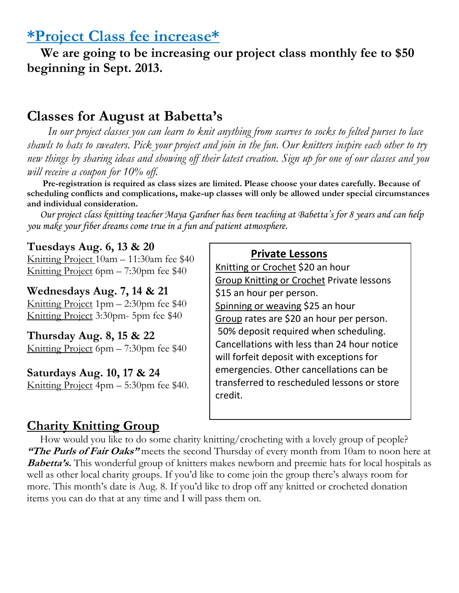### **\*Project Class fee increase\***

 **We are going to be increasing our project class monthly fee to \$50 beginning in Sept. 2013.** 

### **Classes for August at Babetta's**

 *In our project classes you can learn to knit anything from scarves to socks to felted purses to lace shawls to hats to sweaters. Pick your project and join in the fun. Our knitters inspire each other to try new things by sharing ideas and showing off their latest creation. Sign up for one of our classes and you will receive a coupon for 10% off.*

 **Pre-registration is required as class sizes are limited. Please choose your dates carefully. Because of scheduling conflicts and complications, make-up classes will only be allowed under special circumstances and individual consideration.**

*Our project class knitting teacher Maya Gardner has been teaching at Babetta's for 8 years and can help you make your fiber dreams come true in a fun and patient atmosphere.*

#### **Tuesdays Aug. 6, 13 & 20**

Knitting Project 10am – 11:30am fee \$40 Knitting Project 6pm – 7:30pm fee \$40

#### **Wednesdays Aug. 7, 14 & 21**

Knitting Project 1pm – 2:30pm fee \$40 Knitting Project 3:30pm- 5pm fee \$40

**Thursday Aug. 8, 15 & 22** Knitting Project 6pm – 7:30pm fee \$40

#### **Saturdays Aug. 10, 17 & 24**

Knitting Project 4pm – 5:30pm fee \$40.

#### **Private Lessons**

Knitting or Crochet \$20 an hour Group Knitting or Crochet Private lessons \$15 an hour per person. Spinning or weaving \$25 an hour Group rates are \$20 an hour per person. 50% deposit required when scheduling. Cancellations with less than 24 hour notice will forfeit deposit with exceptions for emergencies. Other cancellations can be transferred to rescheduled lessons or store credit.

#### **Charity Knitting Group**

 How would you like to do some charity knitting/crocheting with a lovely group of people? **"The Purls of Fair Oaks"** meets the second Thursday of every month from 10am to noon here at **Babetta's.** This wonderful group of knitters makes newborn and preemie hats for local hospitals as well as other local charity groups. If you'd like to come join the group there's always room for more. This month's date is Aug. 8. If you'd like to drop off any knitted or crocheted donation items you can do that at any time and I will pass them on.